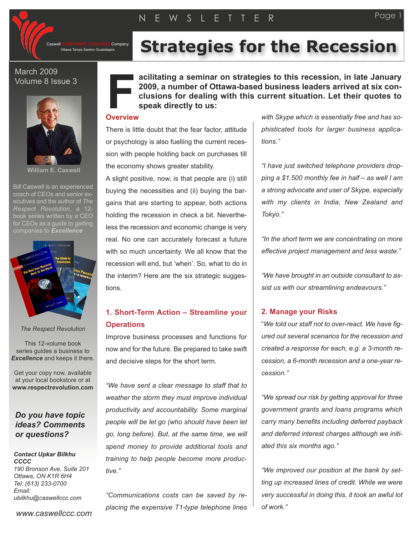

Company Ottawa Tampa Saratov Guadalajara

# **Strategies for the Recession**

#### March 2009 Volume 8 Issue 3



**William E. Caswell**

Bill Caswell is an experienced coach of CEOs and senior executives and the author of *The Respect Revolution*, a 12 book series written by a CEO for CEOs as a quide to getting companies to *Excellence*



*The Respect Revolution*

This 12-volume book series guides a business to *Excellence* and keeps it there.

Get your copy now, available at your local bookstore or at **www.respectrevolution.com**

### *Do you have topic ideas? Comments or questions?*

#### *Contact Upkar Bilkhu CCCC 190 Bronson Ave. Suite 201 Ottawa, ON K1R 6H4 Tel: (613) 233-0700*

*Email: ubilkhu@caswellccc.com* **acilitating a seminar on strategies to this recession, in late January 2009, a number of Ottawa-based business leaders arrived at six conclusions for dealing with this current situation. Let their quotes to speak directly to us:**

# **O verview F**<br>Propriet

There is little doubt that the fear factor, attitude or psychology is also fuelling the current recession with people holding back on purchases till the economy shows greater stability.

A slight positive, now, is that people are (i) still buying the necessities and (ii) buying the bargains that are starting to appear, both actions holding the recession in check a bit. Nevertheless the recession and economic change is very real. No one can accurately forecast a future with so much uncertainty. We all know that the recession will end, but 'when'. So, what to do in the interim? Here are the six strategic suggestions.

## **1. Short-Term Action – Streamline your Operations**

Improve business processes and functions for now and for the future. Be prepared to take swift and decisive steps for the short term.

*"We have sent a clear message to staff that to weather the storm they must improve individual productivity and accountability. Some marginal people will be let go (who should have been let go, long before). But, at the same time, we will spend money to provide additional tools and training to help people become more productive."*

*"Communications costs can be saved by replacing the expensive T1-type telephone lines*

*with Skype which is essentially free and has sophisticated tools for larger business applications."*

*"I have just switched telephone providers dropping a \$1,500 monthly fee in half – as well I am a strong advocate and user of Skype, especially with my clients in India, New Zealand and Tokyo."*

*"In the short term we are concentrating on more effective project management and less waste."*

*"We have brought in an outside consultant to assist us with our streamlining endeavours."*

#### **2. Manage your Risks**

"*We told our staff not to over-react. We have figured out several scenarios for the recession and created a response for each, e.g. a 3-month recession, a 6-month recession and a one-year recession."*

*"We spread our risk by getting approval for three government grants and loans programs which carry many benefits including deferred payback and deferred interest charges although we initiated this six months ago."*

*"We improved our position at the bank by setting up increased lines of credit. While we were very successful in doing this, it took an awful lot of work."*

Page 1

*www.caswellccc.com*